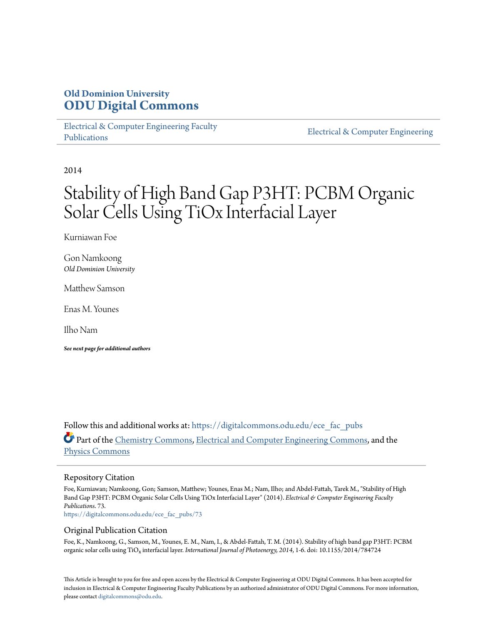# **Old Dominion University [ODU Digital Commons](https://digitalcommons.odu.edu?utm_source=digitalcommons.odu.edu%2Fece_fac_pubs%2F73&utm_medium=PDF&utm_campaign=PDFCoverPages)**

[Electrical & Computer Engineering Faculty](https://digitalcommons.odu.edu/ece_fac_pubs?utm_source=digitalcommons.odu.edu%2Fece_fac_pubs%2F73&utm_medium=PDF&utm_campaign=PDFCoverPages) [Publications](https://digitalcommons.odu.edu/ece_fac_pubs?utm_source=digitalcommons.odu.edu%2Fece_fac_pubs%2F73&utm_medium=PDF&utm_campaign=PDFCoverPages)

[Electrical & Computer Engineering](https://digitalcommons.odu.edu/ece?utm_source=digitalcommons.odu.edu%2Fece_fac_pubs%2F73&utm_medium=PDF&utm_campaign=PDFCoverPages)

2014

# Stability of High Band Gap P3HT: PCBM Organic Solar Cells Using TiOx Interfacial Layer

Kurniawan Foe

Gon Namkoong *Old Dominion University*

Matthew Samson

Enas M. Younes

Ilho Nam

*See next page for additional authors*

Follow this and additional works at: [https://digitalcommons.odu.edu/ece\\_fac\\_pubs](https://digitalcommons.odu.edu/ece_fac_pubs?utm_source=digitalcommons.odu.edu%2Fece_fac_pubs%2F73&utm_medium=PDF&utm_campaign=PDFCoverPages) Part of the [Chemistry Commons,](http://network.bepress.com/hgg/discipline/131?utm_source=digitalcommons.odu.edu%2Fece_fac_pubs%2F73&utm_medium=PDF&utm_campaign=PDFCoverPages) [Electrical and Computer Engineering Commons,](http://network.bepress.com/hgg/discipline/266?utm_source=digitalcommons.odu.edu%2Fece_fac_pubs%2F73&utm_medium=PDF&utm_campaign=PDFCoverPages) and the [Physics Commons](http://network.bepress.com/hgg/discipline/193?utm_source=digitalcommons.odu.edu%2Fece_fac_pubs%2F73&utm_medium=PDF&utm_campaign=PDFCoverPages)

### Repository Citation

Foe, Kurniawan; Namkoong, Gon; Samson, Matthew; Younes, Enas M.; Nam, Ilho; and Abdel-Fattah, Tarek M., "Stability of High Band Gap P3HT: PCBM Organic Solar Cells Using TiOx Interfacial Layer" (2014). *Electrical & Computer Engineering Faculty Publications*. 73.

[https://digitalcommons.odu.edu/ece\\_fac\\_pubs/73](https://digitalcommons.odu.edu/ece_fac_pubs/73?utm_source=digitalcommons.odu.edu%2Fece_fac_pubs%2F73&utm_medium=PDF&utm_campaign=PDFCoverPages)

## Original Publication Citation

Foe, K., Namkoong, G., Samson, M., Younes, E. M., Nam, I., & Abdel-Fattah, T. M. (2014). Stability of high band gap P3HT: PCBM organic solar cells using TiOx interfacial layer. *International Journal of Photoenergy, 2014*, 1-6. doi: 10.1155/2014/784724

This Article is brought to you for free and open access by the Electrical & Computer Engineering at ODU Digital Commons. It has been accepted for inclusion in Electrical & Computer Engineering Faculty Publications by an authorized administrator of ODU Digital Commons. For more information, please contact [digitalcommons@odu.edu](mailto:digitalcommons@odu.edu).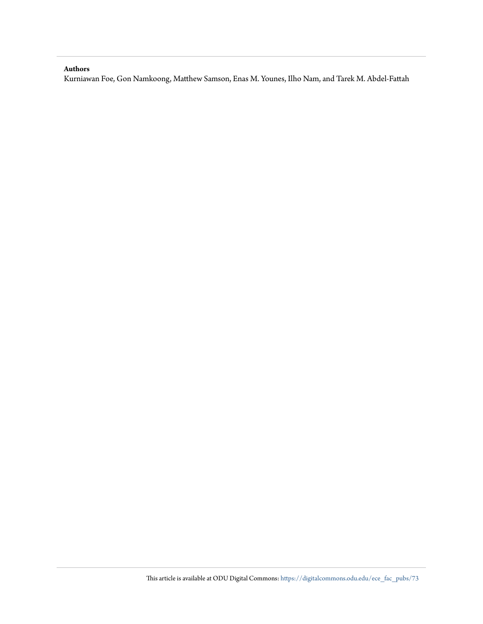# **Authors**

Kurniawan Foe, Gon Namkoong, Matthew Samson, Enas M. Younes, Ilho Nam, and Tarek M. Abdel-Fattah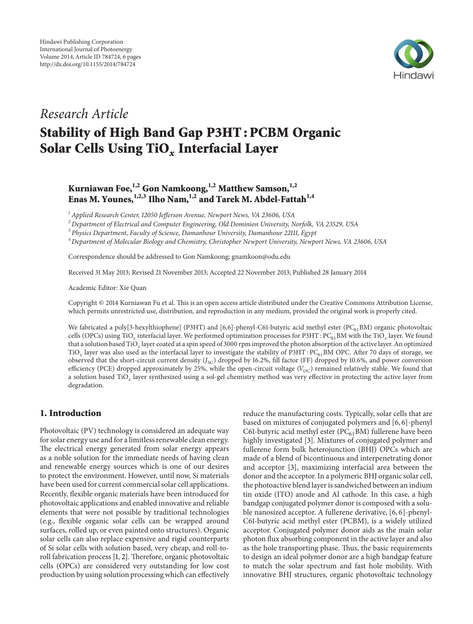

# *Research Article*

# **Stability of High Band Gap P3HT : PCBM Organic Solar Cells Using TiO***<sup>x</sup>* **Interfacial Layer**

# **Kurniawan Foe,1,2 Gon Namkoong,1,2 Matthew Samson,1,2 Enas M. Younes,**<sup>1,2,3</sup> Ilho Nam,<sup>1,2</sup> and Tarek M. Abdel-Fattah<sup>1,4</sup>

*<sup>1</sup> Applied Research Center, 12050 Jefferson Avenue, Newport News, VA 23606, USA*

*<sup>2</sup> Department of Electrical and Computer Engineering, Old Dominion University, Norfolk, VA 23529, USA*

*<sup>3</sup> Physics Department, Faculty of Science, Damanhour University, Damanhour 22111, Egypt*

*<sup>4</sup> Department of Molecular Biology and Chemistry, Christopher Newport University, Newport News, VA 23606, USA*

Correspondence should be addressed to Gon Namkoong; gnamkoon@odu.edu

Received 31 May 2013; Revised 21 November 2013; Accepted 22 November 2013; Published 28 January 2014

Academic Editor: Xie Quan

Copyright © 2014 Kurniawan Fu et al. This is an open access article distributed under the Creative Commons Attribution License, which permits unrestricted use, distribution, and reproduction in any medium, provided the original work is properly cited.

We fabricated a poly[3-hexylthiophene] (P3HT) and [6,6]-phenyl-C61-butyric acid methyl ester (PC $_{61}$ BM) organic photovoltaic cells (OPCs) using TiO<sub>x</sub> interfacial layer. We performed optimization processes for P3HT : PC<sub>61</sub>BM with the TiO<sub>x</sub> layer. We found that a solution based TiO*<sup>x</sup>* layer coated at a spin speed of 3000 rpm improved the photon absorption of the active layer. An optimized  $TiO<sub>x</sub>$  layer was also used as the interfacial layer to investigate the stability of P3HT : PC<sub>61</sub>BM OPC. After 70 days of storage, we observed that the short-circuit current density  $(J_{SC})$  dropped by 16.2%, fill factor (FF) dropped by 10.6%, and power conversion efficiency (PCE) dropped approximately by 25%, while the open-circuit voltage  $(V_{\text{OC}})$  remained relatively stable. We found that a solution based TiO*<sup>x</sup>* layer synthesized using a sol-gel chemistry method was very effective in protecting the active layer from degradation.

# **1. Introduction**

Photovoltaic (PV) technology is considered an adequate way for solar energy use and for a limitless renewable clean energy. The electrical energy generated from solar energy appears as a noble solution for the immediate needs of having clean and renewable energy sources which is one of our desires to protect the environment. However, until now, Si materials have been used for current commercial solar cell applications. Recently, flexible organic materials have been introduced for photovoltaic applications and enabled innovative and reliable elements that were not possible by traditional technologies (e.g., flexible organic solar cells can be wrapped around surfaces, rolled up, or even painted onto structures). Organic solar cells can also replace expensive and rigid counterparts of Si solar cells with solution based, very cheap, and roll-toroll fabrication process [1, 2]. Therefore, organic photovoltaic cells (OPCs) are considered very outstanding for low cost production by using solution processing which can effectively reduce the manufacturing costs. Typically, solar cells that are based on mixtures of conjugated polymers and [6, 6]-phenyl C61-butyric acid methyl ester ( $PC_{61}$ BM) fullerene have been highly investigated [3]. Mixtures of conjugated polymer and fullerene form bulk heterojunction (BHJ) OPCs which are made of a blend of bicontinuous and interpenetrating donor and acceptor [3], maximizing interfacial area between the donor and the acceptor. In a polymeric BHJ organic solar cell, the photoactive blend layer is sandwiched between an indium tin oxide (ITO) anode and Al cathode. In this case, a high bandgap conjugated polymer donor is composed with a soluble nanosized acceptor. A fullerene derivative, [6, 6]-phenyl-C61-butyric acid methyl ester (PCBM), is a widely utilized acceptor. Conjugated polymer donor aids as the main solar photon flux absorbing component in the active layer and also as the hole transporting phase. Thus, the basic requirements to design an ideal polymer donor are a high bandgap feature to match the solar spectrum and fast hole mobility. With innovative BHJ structures, organic photovoltaic technology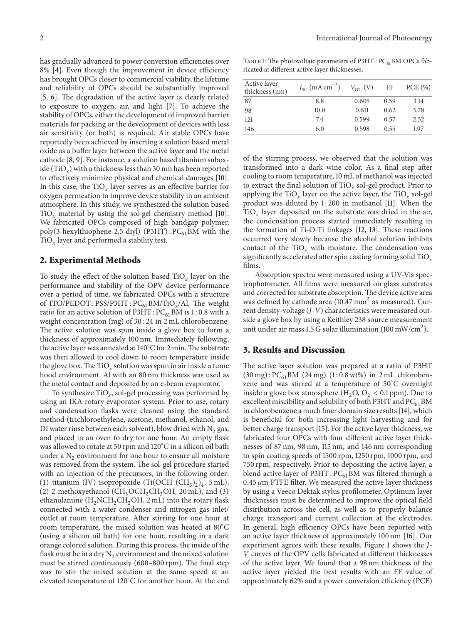has gradually advanced to power conversion efficiencies over 8% [4]. Even though the improvement in device efficiency has brought OPCs closer to commercial viability, the lifetime and reliability of OPCs should be substantially improved [5, 6]. The degradation of the active layer is clearly related to exposure to oxygen, air, and light [7]. To achieve the stability of OPCs, either the development of improved barrier materials for packing or the development of devices with less air sensitivity (or both) is required. Air stable OPCs have reportedly been achieved by inserting a solution based metal oxide as a buffer layer between the active layer and the metal cathode [8, 9]. For instance, a solution based titanium suboxide (TiO<sub>x</sub>) with a thickness less than 30 nm has been reported to effectively minimize physical and chemical damages [10]. In this case, the TiO<sub>x</sub> layer serves as an effective barrier for oxygen permeation to improve device stability in an ambient atmosphere. In this study, we synthesized the solution based TiO*<sup>x</sup>* material by using the sol-gel chemistry method [10]. We fabricated OPCs composed of high bandgap polymer, poly(3-hexylthiophene-2,5-diyl) (P3HT):  $PC_{61}$ BM with the TiO*<sup>x</sup>* layer and performed a stability test.

# **2. Experimental Methods**

To study the effect of the solution based TiO*<sup>x</sup>* layer on the performance and stability of the OPV device performance over a period of time, we fabricated OPCs with a structure of ITO/PEDOT: PSS/P3HT: PC<sub>61</sub>BM/TiO<sub>x</sub>/Al. The weight ratio for an active solution of  $P3HT$ :  $PC_{61}BM$  is 1:0.8 with a weight concentration (mg) of 30 : 24 in 2 mL chlorobenzene. The active solution was spun inside a glove box to form a thickness of approximately 100 nm. Immediately following, the active layer was annealed at 140<sup>∘</sup> C for 2 min.The substrate was then allowed to cool down to room temperature inside the glove box. The  $TiO_x$  solution was spun in air inside a fume hood environment. Al with an 80 nm thickness was used as the metal contact and deposited by an e-beam evaporator.

To synthesize TiO*x*, sol-gel processing was performed by using an IKA rotary evaporator system. Prior to use, rotary and condensation flasks were cleaned using the standard method (trichloroethylene, acetone, methanol, ethanol, and DI water rinse between each solvent), blow dried with  $N_2$  gas, and placed in an oven to dry for one hour. An empty flask was allowed to rotate at 50 rpm and 120<sup>∘</sup> C in a silicon oil bath under a  $N<sub>2</sub>$  environment for one hour to ensure all moisture was removed from the system. The sol-gel procedure started with an injection of the precursors, in the following order: (1) titanium (IV) isopropoxide (Ti(OCH  $(CH_3)_2)_4$ , 5 mL), (2) 2-methoxyethanol (CH<sub>3</sub>OCH<sub>2</sub>CH<sub>2</sub>OH, 20 mL), and (3) ethanolamine  $(H_2NCH_2CH_2OH, 2 mL)$  into the rotary flask connected with a water condenser and nitrogen gas inlet/ outlet at room temperature. After stirring for one hour at room temperature, the mixed solution was heated at 80<sup>∘</sup> C (using a silicon oil bath) for one hour, resulting in a dark orange colored solution. During this process, the inside of the flask must be in a dry  $N_2$  environment and the mixed solution must be stirred continuously (600–800 rpm). The final step was to stir the mixed solution at the same speed at an elevated temperature of 120<sup>∘</sup> C for another hour. At the end

TABLE 1: The photovoltaic parameters of P3HT : PC<sub>61</sub>BM OPCs fabricated at different active layer thicknesses.

| Active layer<br>thickness (nm) | $J_{\rm SC}$ (mA cm <sup>-2</sup> ) | $V_{\alpha c}$ (V) | FF   | PCE(%) |
|--------------------------------|-------------------------------------|--------------------|------|--------|
| 87                             | 8.8                                 | 0.605              | 0.59 | 3.14   |
| 98                             | 10.0                                | 0.611              | 0.62 | 3.78   |
| 121                            | 7.4                                 | 0.599              | 0.57 | 2.52   |
| 146                            | 6.0                                 | 0.598              | 0.55 | 1.97   |

of the stirring process, we observed that the solution was transformed into a dark wine color. As a final step after cooling to room temperature, 10 mL of methanol was injected to extract the final solution of TiO*<sup>x</sup>* sol-gel product. Prior to applying the TiO<sub>x</sub> layer on the active layer, the TiO<sub>x</sub> sol-gel product was diluted by 1 : 200 in methanol [11]. When the TiO*<sup>x</sup>* layer deposited on the substrate was dried in the air, the condensation process started immediately resulting in the formation of Ti-O-Ti linkages [12, 13]. These reactions occurred very slowly because the alcohol solution inhibits contact of the TiO<sub>x</sub> with moisture. The condensation was significantly accelerated after spin casting forming solid TiO*<sup>x</sup>* films.

Absorption spectra were measured using a UV-Vis spectrophotometer. All films were measured on glass substrates and corrected for substrate absorption. The device active area was defined by cathode area  $(10.47 \text{ mm}^2)$  as measured). Current density-voltage (*J*-*V*) characteristics were measured outside a glove box by using a Keithley 238 source measurement unit under air mass 1.5 G solar illumination (100 mW/cm<sup>2</sup>).

## **3. Results and Discussion**

The active layer solution was prepared at a ratio of P3HT  $(30 \text{ mg}) : PC_{61}$ BM  $(24 \text{ mg})$   $(1:0.8 \text{ wt\%})$  in 2 mL chlorobenzene and was stirred at a temperature of 50<sup>∘</sup> C overnight inside a glove box atmosphere  $(H_2O, O_2 < 0.1$  ppm). Due to excellent miscibility and solubility of both P3HT and  $PC_{61}$ BM in chlorobenzene a much finer domain size results [14], which is beneficial for both increasing light harvesting and for better charge transport [15]. For the active layer thickness, we fabricated four OPCs with four different active layer thicknesses of 87 nm, 98 nm, 115 nm, and 146 nm corresponding to spin coating speeds of 1500 rpm, 1250 rpm, 1000 rpm, and 750 rpm, respectively. Prior to depositing the active layer, a blend active layer of  $P3HT$ :  $PC_{61}BM$  was filtered through a 0.45  $\mu$ m PTFE filter. We measured the active layer thickness by using a Veeco Dektak stylus profilometer. Optimum layer thicknesses must be determined to improve the optical field distribution across the cell, as well as to properly balance charge transport and current collection at the electrodes. In general, high efficiency OPCs have been reported with an active layer thickness of approximately 100 nm [16]. Our experiment agrees with these results. Figure 1 shows the *J*-*V* curves of the OPV cells fabricated at different thicknesses of the active layer. We found that a 98 nm thickness of the active layer yielded the best results with an FF value of approximately 62% and a power conversion efficiency (PCE)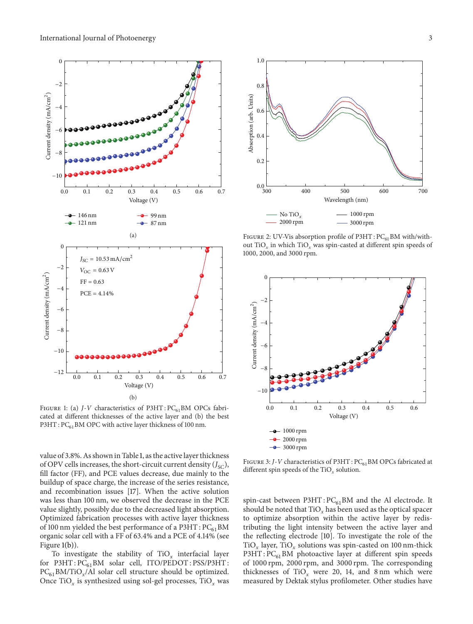

FIGURE 1: (a)  $J-V$  characteristics of  $P3HT$ :  $PC_{61}BM$  OPCs fabricated at different thicknesses of the active layer and (b) the best P3HT : PC<sub>61</sub>BM OPC with active layer thickness of 100 nm.

value of 3.8%. As shown in Table 1, as the active layer thickness of OPV cells increases, the short-circuit current density  $(J_{SC})$ , fill factor (FF), and PCE values decrease, due mainly to the buildup of space charge, the increase of the series resistance, and recombination issues [17]. When the active solution was less than 100 nm, we observed the decrease in the PCE value slightly, possibly due to the decreased light absorption. Optimized fabrication processes with active layer thickness of 100 nm yielded the best performance of a  $P3HT$ :  $PC_{61}BM$ organic solar cell with a FF of 63.4% and a PCE of 4.14% (see Figure 1(b)).

To investigate the stability of TiO*<sup>x</sup>* interfacial layer for  $P3HT : PC_{61}BM$  solar cell,  $ITO/PEDOT : PSS/P3HT$ : PC<sub>61</sub>BM/TiO<sub>x</sub>/Al solar cell structure should be optimized. Once TiO*<sup>x</sup>* is synthesized using sol-gel processes, TiO*<sup>x</sup>* was



FIGURE 2: UV-Vis absorption profile of  $P3HT$ :  $PC_{61}BM$  with/without TiO*<sup>x</sup>* in which TiO*<sup>x</sup>* was spin-casted at different spin speeds of 1000, 2000, and 3000 rpm.



FIGURE 3: *J*-*V* characteristics of P3HT : PC<sub>61</sub>BM OPCs fabricated at different spin speeds of the TiO*<sup>x</sup>* solution.

spin-cast between  $P3HT$ :  $PC_{61}BM$  and the Al electrode. It should be noted that  $TiO_x$  has been used as the optical spacer to optimize absorption within the active layer by redistributing the light intensity between the active layer and the reflecting electrode [10]. To investigate the role of the TiO<sub>x</sub> layer, TiO<sub>x</sub> solutions was spin-casted on 100 nm-thick  $P3HT$ :  $PC_{61}BM$  photoactive layer at different spin speeds of 1000 rpm, 2000 rpm, and 3000 rpm. The corresponding thicknesses of TiO<sub>x</sub> were 20, 14, and 8 nm which were measured by Dektak stylus profilometer. Other studies have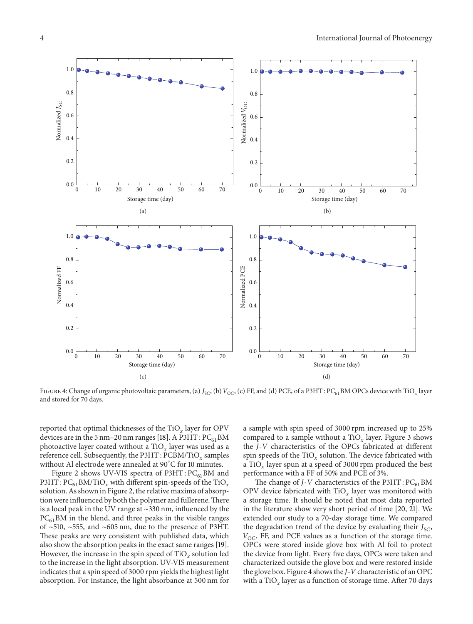

FIGURE 4: Change of organic photovoltaic parameters, (a)  $J_{\rm SC}$ , (b)  $V_{\rm OC}$ , (c) FF, and (d) PCE, of a P3HT : PC<sub>61</sub>BM OPCs device with TiO<sub>x</sub> layer and stored for 70 days.

reported that optimal thicknesses of the TiO*<sup>x</sup>* layer for OPV devices are in the 5 nm-20 nm ranges [18]. A P3HT :  $PC_{61}$ BM photoactive layer coated without a TiO*<sup>x</sup>* layer was used as a reference cell. Subsequently, the P3HT : PCBM/TiO*<sup>x</sup>* samples without Al electrode were annealed at 90<sup>∘</sup> C for 10 minutes.

Figure 2 shows UV-VIS spectra of  $P3HT$ :  $PC_{61}BM$  and P3HT : PC<sub>61</sub>BM/TiO<sub>x</sub> with different spin-speeds of the TiO<sub>x</sub> solution. As shown in Figure 2, the relative maxima of absorption were influenced by both the polymer and fullerene.There is a local peak in the UV range at ∼330 nm, influenced by the  $PC_{61}$ BM in the blend, and three peaks in the visible ranges of ∼510, ∼555, and ∼605 nm, due to the presence of P3HT. These peaks are very consistent with published data, which also show the absorption peaks in the exact same ranges [19]. However, the increase in the spin speed of TiO*<sup>x</sup>* solution led to the increase in the light absorption. UV-VIS measurement indicates that a spin speed of 3000 rpm yields the highest light absorption. For instance, the light absorbance at 500 nm for a sample with spin speed of 3000 rpm increased up to 25% compared to a sample without a TiO*<sup>x</sup>* layer. Figure 3 shows the *J*-*V* characteristics of the OPCs fabricated at different spin speeds of the TiO*<sup>x</sup>* solution. The device fabricated with a TiO*<sup>x</sup>* layer spun at a speed of 3000 rpm produced the best performance with a FF of 50% and PCE of 3%.

The change of *J*-*V* characteristics of the  $P3HT$ :  $PC_{61}BM$ OPV device fabricated with TiO*<sup>x</sup>* layer was monitored with a storage time. It should be noted that most data reported in the literature show very short period of time [20, 21]. We extended our study to a 70-day storage time. We compared the degradation trend of the device by evaluating their  $J_{SC}$ ,  $V_{\text{OC}}$ , FF, and PCE values as a function of the storage time. OPCs were stored inside glove box with Al foil to protect the device from light. Every five days, OPCs were taken and characterized outside the glove box and were restored inside the glove box. Figure 4 shows the *J*-*V* characteristic of an OPC with a TiO*<sup>x</sup>* layer as a function of storage time. After 70 days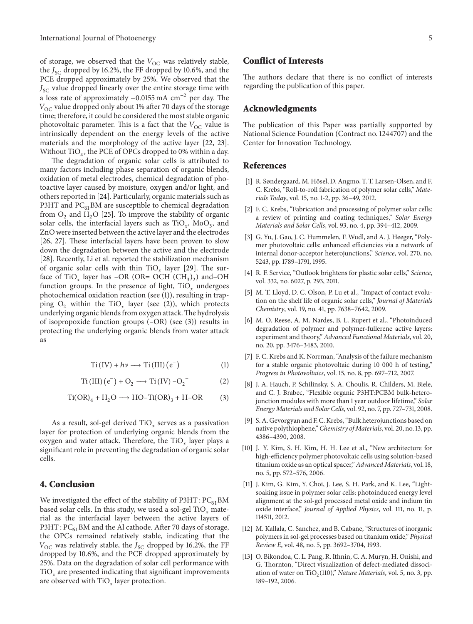of storage, we observed that the  $V_{OC}$  was relatively stable, the  $J_{SC}$  dropped by 16.2%, the FF dropped by 10.6%, and the PCE dropped approximately by 25%. We observed that the  $J_{SC}$  value dropped linearly over the entire storage time with a loss rate of approximately −0.0155 mA cm−2 per day. The  $V_{\rm OC}$  value dropped only about 1% after 70 days of the storage time; therefore, it could be considered the most stable organic photovoltaic parameter. This is a fact that the  $V_{OC}$  value is intrinsically dependent on the energy levels of the active materials and the morphology of the active layer [22, 23]. Without  $TiO_x$ , the PCE of OPCs dropped to 0% within a day.

The degradation of organic solar cells is attributed to many factors including phase separation of organic blends, oxidation of metal electrodes, chemical degradation of photoactive layer caused by moisture, oxygen and/or light, and others reported in [24]. Particularly, organic materials such as P3HT and  $PC_{61}$ BM are susceptible to chemical degradation from  $O_2$  and  $H_2O$  [25]. To improve the stability of organic solar cells, the interfacial layers such as  $TiO_x$ ,  $MoO_3$ , and ZnO were inserted between the active layer and the electrodes [26, 27]. These interfacial layers have been proven to slow down the degradation between the active and the electrode [28]. Recently, Li et al. reported the stabilization mechanism of organic solar cells with thin TiO*<sup>x</sup>* layer [29]. The surface of TiO<sub>x</sub> layer has –OR (OR= OCH  $(CH_3)_2$ ) and–OH function groups. In the presence of light,  $TiO_x$  undergoes photochemical oxidation reaction (see (1)), resulting in trapping  $O_2$  within the TiO<sub>x</sub> layer (see (2)), which protects underlying organic blends from oxygen attack.The hydrolysis of isopropoxide function groups (–OR) (see (3)) results in protecting the underlying organic blends from water attack as

$$
Ti (IV) + h\nu \longrightarrow Ti (III) (e^-)
$$
 (1)

$$
Ti (III) (e^-) + O_2 \longrightarrow Ti (IV) - O_2 \tag{2}
$$

$$
Ti(OR)_4 + H_2O \longrightarrow HO-Ti(OR)_3 + H-OR \tag{3}
$$

As a result, sol-gel derived TiO*<sup>x</sup>* serves as a passivation layer for protection of underlying organic blends from the oxygen and water attack. Therefore, the TiO*<sup>x</sup>* layer plays a significant role in preventing the degradation of organic solar cells.

#### **4. Conclusion**

We investigated the effect of the stability of  $P3HT$ :  $PC_{61}BM$ based solar cells. In this study, we used a sol-gel TiO*<sup>x</sup>* material as the interfacial layer between the active layers of  $P3HT$ :  $PC_{61}$ BM and the Al cathode. After 70 days of storage, the OPCs remained relatively stable, indicating that the  $V_{\text{OC}}$  was relatively stable, the  $J_{\text{SC}}$  dropped by 16.2%, the FF dropped by 10.6%, and the PCE dropped approximately by 25%. Data on the degradation of solar cell performance with TiO*<sup>x</sup>* are presented indicating that significant improvements are observed with TiO*<sup>x</sup>* layer protection.

# **Conflict of Interests**

The authors declare that there is no conflict of interests regarding the publication of this paper.

# **Acknowledgments**

The publication of this Paper was partially supported by National Science Foundation (Contract no. 1244707) and the Center for Innovation Technology.

#### **References**

- [1] R. Søndergaard, M. Hösel, D. Angmo, T. T. Larsen-Olsen, and F. C. Krebs, "Roll-to-roll fabrication of polymer solar cells," *Materials Today*, vol. 15, no. 1-2, pp. 36–49, 2012.
- [2] F. C. Krebs, "Fabrication and processing of polymer solar cells: a review of printing and coating techniques," *Solar Energy Materials and Solar Cells*, vol. 93, no. 4, pp. 394–412, 2009.
- [3] G. Yu, J. Gao, J. C. Hummelen, F. Wudl, and A. J. Heeger, "Polymer photovoltaic cells: enhanced efficiencies via a network of internal donor-acceptor heterojunctions," *Science*, vol. 270, no. 5243, pp. 1789–1791, 1995.
- [4] R. F. Service, "Outlook brightens for plastic solar cells," *Science*, vol. 332, no. 6027, p. 293, 2011.
- [5] M. T. Lloyd, D. C. Olson, P. Lu et al., "Impact of contact evolution on the shelf life of organic solar cells," *Journal of Materials Chemistry*, vol. 19, no. 41, pp. 7638–7642, 2009.
- [6] M. O. Reese, A. M. Nardes, B. L. Rupert et al., "Photoinduced degradation of polymer and polymer-fullerene active layers: experiment and theory," *Advanced Functional Materials*, vol. 20, no. 20, pp. 3476–3483, 2010.
- [7] F. C. Krebs and K. Norrman, "Analysis of the failure mechanism for a stable organic photovoltaic during 10 000 h of testing," *Progress in Photovoltaics*, vol. 15, no. 8, pp. 697–712, 2007.
- [8] J. A. Hauch, P. Schilinsky, S. A. Choulis, R. Childers, M. Biele, and C. J. Brabec, "Flexible organic P3HT:PCBM bulk-heterojunction modules with more than 1 year outdoor lifetime," *Solar Energy Materials and Solar Cells*, vol. 92, no. 7, pp. 727–731, 2008.
- [9] S. A. Gevorgyan and F. C. Krebs, "Bulk heterojunctions based on native polythiophene," *Chemistry of Materials*, vol. 20, no. 13, pp. 4386–4390, 2008.
- [10] J. Y. Kim, S. H. Kim, H. H. Lee et al., "New architecture for high-efficiency polymer photovoltaic cells using solution-based titanium oxide as an optical spacer," *Advanced Materials*, vol. 18, no. 5, pp. 572–576, 2006.
- [11] J. Kim, G. Kim, Y. Choi, J. Lee, S. H. Park, and K. Lee, "Lightsoaking issue in polymer solar cells: photoinduced energy level alignment at the sol-gel processed metal oxide and indium tin oxide interface," *Journal of Applied Physics*, vol. 111, no. 11, p. 114511, 2012.
- [12] M. Kallala, C. Sanchez, and B. Cabane, "Structures of inorganic polymers in sol-gel processes based on titanium oxide," *Physical Review E*, vol. 48, no. 5, pp. 3692–3704, 1993.
- [13] O. Bikondoa, C. L. Pang, R. Ithnin, C. A. Muryn, H. Onishi, and G. Thornton, "Direct visualization of defect-mediated dissociation of water on TiO<sub>2</sub>(110)," *Nature Materials*, vol. 5, no. 3, pp. 189–192, 2006.